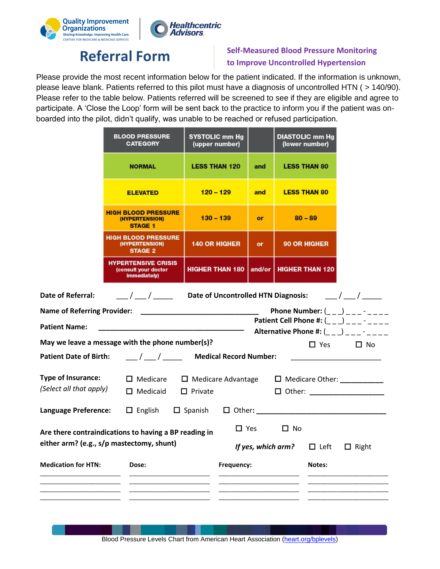



## **Referral Form Self-Measured Blood Pressure Monitoring to Improve Uncontrolled Hypertension**

Please provide the most recent information below for the patient indicated. If the information is unknown, please leave blank. Patients referred to this pilot must have a diagnosis of uncontrolled HTN ( > 140/90). Please refer to the table below. Patients referred will be screened to see if they are eligible and agree to participate. A 'Close the Loop' form will be sent back to the practice to inform you if the patient was onboarded into the pilot, didn't qualify, was unable to be reached or refused participation.

|                                                                                                                                                                                                                                                                                                                                                                                                  | <b>BLOOD PRESSURE</b><br><b>CATEGORY</b>                                          | <b>SYSTOLIC mm Hg</b><br>(upper number) | <b>DIASTOLIC mm Hg</b><br>(lower number) |                          |  |  |  |
|--------------------------------------------------------------------------------------------------------------------------------------------------------------------------------------------------------------------------------------------------------------------------------------------------------------------------------------------------------------------------------------------------|-----------------------------------------------------------------------------------|-----------------------------------------|------------------------------------------|--------------------------|--|--|--|
|                                                                                                                                                                                                                                                                                                                                                                                                  | <b>NORMAL</b>                                                                     | <b>LESS THAN 120</b>                    | and                                      | <b>LESS THAN 80</b>      |  |  |  |
|                                                                                                                                                                                                                                                                                                                                                                                                  | <b>ELEVATED</b>                                                                   | $120 - 129$                             | and                                      | <b>LESS THAN 80</b>      |  |  |  |
|                                                                                                                                                                                                                                                                                                                                                                                                  | <b>HIGH BLOOD PRESSURE</b><br>(HYPERTENSION)<br><b>STAGE 1</b>                    | $130 - 139$                             | <b>or</b>                                | $80 - 89$                |  |  |  |
|                                                                                                                                                                                                                                                                                                                                                                                                  | <b>HIGH BLOOD PRESSURE</b><br>(HYPERTENSION)<br><b>STAGE 2</b>                    | <b>140 OR HIGHER</b>                    | <b>or</b>                                | 90 OR HIGHER             |  |  |  |
|                                                                                                                                                                                                                                                                                                                                                                                                  | HYPERTENSIVE CRISIS<br>(consult your doctor<br>immediately)                       | <b>HIGHER THAN 180</b>                  |                                          | and/or   HIGHER THAN 120 |  |  |  |
| $\frac{1}{2}$ / $\frac{1}{2}$ / $\frac{1}{2}$ / $\frac{1}{2}$ / $\frac{1}{2}$ / $\frac{1}{2}$ / $\frac{1}{2}$ / $\frac{1}{2}$ / $\frac{1}{2}$ / $\frac{1}{2}$ / $\frac{1}{2}$ / $\frac{1}{2}$ / $\frac{1}{2}$ / $\frac{1}{2}$ / $\frac{1}{2}$ / $\frac{1}{2}$ / $\frac{1}{2}$ / $\frac{1}{2}$ / $\frac{1$<br>Date of Referral:<br>Date of Uncontrolled HTN Diagnosis:<br>$\frac{\frac{1}{2}}{2}$ |                                                                                   |                                         |                                          |                          |  |  |  |
|                                                                                                                                                                                                                                                                                                                                                                                                  | Phone Number: $($ <sub>__</sub> _) ___- ___<br><b>Name of Referring Provider:</b> |                                         |                                          |                          |  |  |  |
| Patient Cell Phone #: $($ <sub>__</sub> _) ___ <sup>-</sup> ____<br><b>Patient Name:</b>                                                                                                                                                                                                                                                                                                         |                                                                                   |                                         |                                          |                          |  |  |  |
| Alternative Phone #: ( ) -<br>May we leave a message with the phone number(s)?                                                                                                                                                                                                                                                                                                                   |                                                                                   |                                         |                                          |                          |  |  |  |
| $\Box$ Yes<br>$\square$ No<br><b>Patient Date of Birth:</b><br>$\frac{1}{2}$ / $\frac{1}{2}$ Medical Record Number:                                                                                                                                                                                                                                                                              |                                                                                   |                                         |                                          |                          |  |  |  |
| <b>Type of Insurance:</b><br>$\Box$ Medicare<br>$\Box$ Medicare Advantage<br>$\Box$ Medicare Other: ___________<br>(Select all that apply)<br>$\Box$ Medicaid<br>$\Box$ Other: ____________________<br>$\Box$ Private                                                                                                                                                                            |                                                                                   |                                         |                                          |                          |  |  |  |
|                                                                                                                                                                                                                                                                                                                                                                                                  |                                                                                   |                                         |                                          |                          |  |  |  |
| $\Box$ Yes<br>$\Box$ No<br>Are there contraindications to having a BP reading in<br>either arm? (e.g., s/p mastectomy, shunt)<br>If yes, which arm?<br>$\Box$ Left<br>$\Box$ Right                                                                                                                                                                                                               |                                                                                   |                                         |                                          |                          |  |  |  |
| <b>Medication for HTN:</b><br>Dose:                                                                                                                                                                                                                                                                                                                                                              |                                                                                   | Frequency:                              |                                          | Notes:                   |  |  |  |
|                                                                                                                                                                                                                                                                                                                                                                                                  |                                                                                   |                                         |                                          |                          |  |  |  |

Blood Pressure Levels Chart from American Heart Association [\(heart.org/bplevels\)](http://www.heart.org/bplevels)